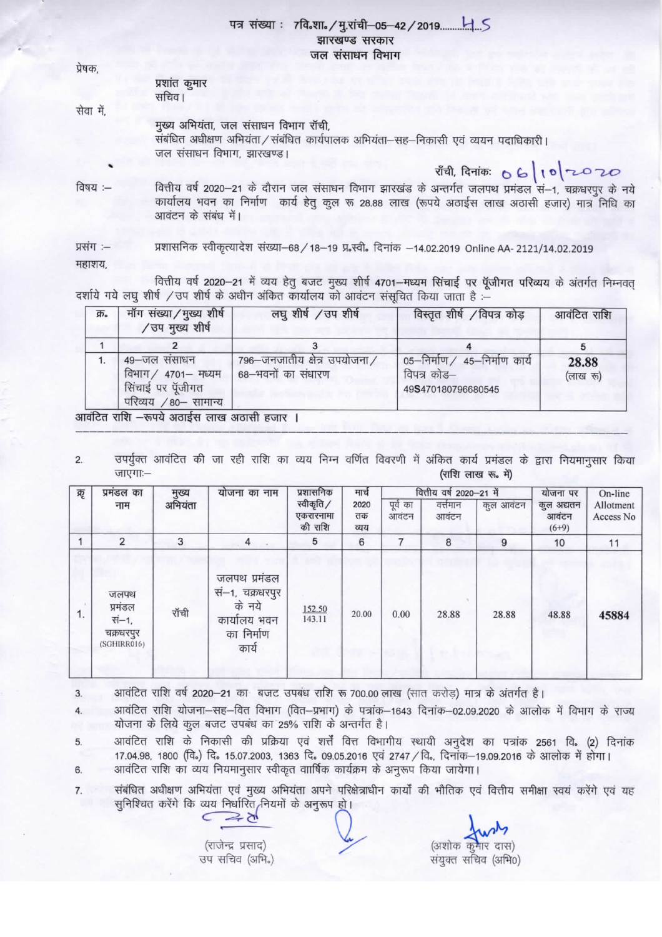## झारखण्ड सरकार जल संसाधन विभाग

| प्रेषक,   |                                                                                                                                                                                                                                                                      |
|-----------|----------------------------------------------------------------------------------------------------------------------------------------------------------------------------------------------------------------------------------------------------------------------|
|           | प्रशांत कुमार<br>सचिव।                                                                                                                                                                                                                                               |
| सेवा में, |                                                                                                                                                                                                                                                                      |
|           | मुख्य अभियंता, जल संसाधन विभाग रॉची,<br>संबंधित अधीक्षण अभियंता / संबंधित कार्यपालक अभियंता-सह-निकासी एवं व्ययन पदाधिकारी।<br>जल संसाधन विभाग, झारखण्ड।                                                                                                              |
|           |                                                                                                                                                                                                                                                                      |
| विषय :--  | राँची, दिनांकः O G तो 10 राज्य 2010<br>वित्तीय वर्ष 2020–21 के दौरान जल संसाधन विभाग झारखंड के अन्तर्गत जलपथ प्रमंडल सं–1, चक्रधरपुर के नये<br>कार्यालय भवन का निर्माण कार्य हेतु कुल रू 28.88 लाख (रूपये अठाईस लाख अठासी हजार) मात्र निधि का<br>आवंटन के संबंध में। |
|           |                                                                                                                                                                                                                                                                      |

प्रशासनिक स्वीकृत्यादेश संख्या-68 / 18-19 प्र स्वी. दिनांक -14.02.2019 Online AA- 2121/14.02.2019 प्रसंग :-महाशय.

वित्तीय वर्ष 2020-21 में व्यय हेतु बजट मुख्य शीर्ष 4701-मध्यम सिंचाई पर पूँजीगत परिव्यय के अंतर्गत निम्नवत् दर्शाये गये लघु शीर्ष / उप शीर्ष के अधीन अंकित कार्यालय को आवंटन संसूचित किया जाता है :-

| क्र. | मॉंग संख्या / मुख्य शीर्ष<br>/ उप मुख्य शीर्ष                                    | लघुशीर्ष / उप शीर्ष                                | विस्तृत शीर्ष /विपत्र कोड़                                         | आवंटित राशि       |  |
|------|----------------------------------------------------------------------------------|----------------------------------------------------|--------------------------------------------------------------------|-------------------|--|
|      |                                                                                  |                                                    |                                                                    |                   |  |
|      | 49-जल संसाधन<br>विभाग / 4701- मध्यम<br>सिंचाई पर पूँजीगत<br>परिव्यय /80- सामान्य | 796-जनजातीय क्षेत्र उपयोजना/<br>68–भवनों का संधारण | 05–निर्माण / 45–निर्माण कार्य<br>विपत्र कोड—<br>49S470180796680545 | 28.88<br>(लाख रू) |  |

आवंटित राशि –रूपये अठाईस लाख अठासी हजार ।

उपर्युक्त आवंटित की जा रही राशि का व्यय निम्न वर्णित विवरणी में अंकित कार्य प्रमंडल के द्वारा नियमानुसार किया  $\overline{2}$ जाएगाः-(राशि लाख रू. में)

| ऋ  | प्रमंडल का<br>नाम                                    | मुख्य<br>अभियंता | योजना का नाम                                                                     | प्रशासनिक<br>स्वीकृति /<br>एकरारनामा<br>की राशि | मार्च              |                   | वित्तीय वर्ष 2020-21 में |           | योजना पर<br>कुल अद्यतन<br>आवंटन<br>$(6+9)$ | On-line<br>Allotment<br>Access No |
|----|------------------------------------------------------|------------------|----------------------------------------------------------------------------------|-------------------------------------------------|--------------------|-------------------|--------------------------|-----------|--------------------------------------------|-----------------------------------|
|    |                                                      |                  |                                                                                  |                                                 | 2020<br>तक<br>व्यय | पूर्व का<br>आवंटन | वर्त्तमान<br>आवंटन       | कुल आवंटन |                                            |                                   |
|    | $\overline{2}$                                       | 3                | 4                                                                                | 5                                               | 6                  |                   | 8                        | 9         | 10                                         | 11                                |
| 1. | जलपथ<br>प्रमंडल<br>सं–1,<br>चक्रधरपुर<br>(SGHIRR016) | रॉची             | जलपथ प्रमंडल<br>सं–1, चक्रधरपुर<br>के नये<br>कार्यालय भवन<br>का निर्माण<br>कार्य | 152.50<br>143.11                                | 20.00              | 0.00              | 28.88                    | 28.88     | 48.88                                      | 45884                             |

आवंटित राशि वर्ष 2020-21 का बजट उपबंध राशि रू 700.00 लाख (सात करोड़) मात्र के अंतर्गत है। 3

आवंटित राशि योजना-सह-वित विभाग (वित-प्रभाग) के पत्रांक-1643 दिनांक-02.09.2020 के आलोक में विभाग के राज्य योजना के लिये कुल बजट उपबंध का 25% राशि के अन्तर्गत है।

आवंटित राशि के निकासी की प्रक्रिया एवं शर्त्तें वित्त विभागीय स्थायी अनुदेश का पत्रांक 2561 वि. (2) दिनांक 5 17.04.98, 1800 (वि.) दि. 15.07.2003, 1363 दि. 09.05.2016 एवं 2747 / वि., दिनांक-19.09.2016 के आलोक में होगा। आवंटित राशि का व्यय नियमानुसार स्वीकृत वाार्षिक कार्यक्रम के अनुरूप किया जायेगा। 6

संबंधित अधीक्षण अभियंता एवं मुख्य अभियंता अपने परिक्षेत्राधीन कार्यों की भौतिक एवं वित्तीय समीक्षा स्वयं करेंगे एवं यह  $\overline{7}$ सुनिश्चित करेंगे कि व्यय निर्धारित नियमों के अनुरूप हो।

(राजेन्द्र प्रसाद) उप सचिव (अभि.)

ドマ

(अशोक कुमार दास) संयुक्त सचिव (अभि0)